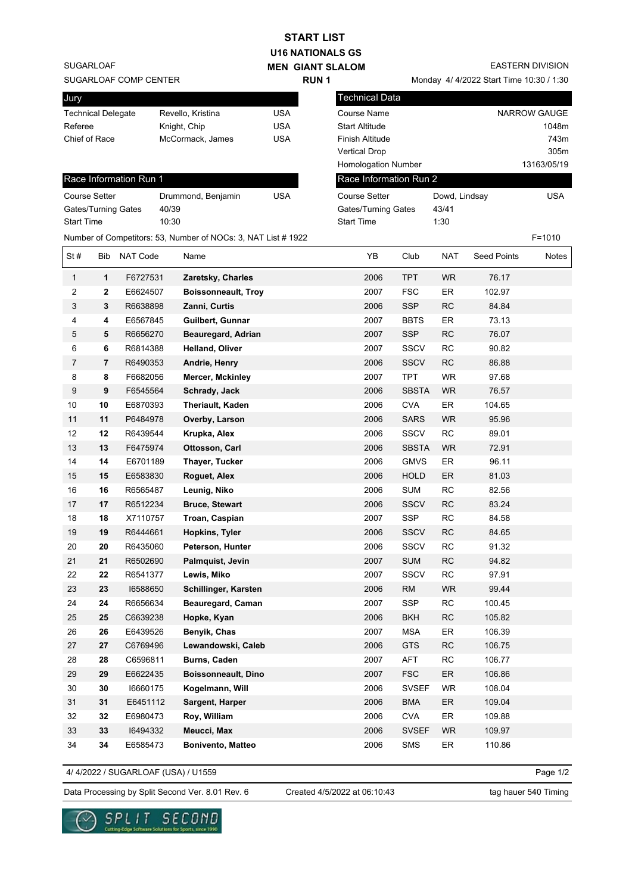| <b>START LIST</b>                           |                         |                        |                    |                                                               |            |                      |                                         |               |            |                    |              |
|---------------------------------------------|-------------------------|------------------------|--------------------|---------------------------------------------------------------|------------|----------------------|-----------------------------------------|---------------|------------|--------------------|--------------|
| <b>U16 NATIONALS GS</b>                     |                         |                        |                    |                                                               |            |                      |                                         |               |            |                    |              |
| <b>SUGARLOAF</b><br><b>MEN GIANT SLALOM</b> |                         |                        |                    |                                                               |            |                      | <b>EASTERN DIVISION</b>                 |               |            |                    |              |
| SUGARLOAF COMP CENTER                       |                         |                        |                    | <b>RUN1</b>                                                   |            |                      | Monday 4/4/2022 Start Time 10:30 / 1:30 |               |            |                    |              |
| Jury                                        |                         |                        |                    |                                                               |            |                      | <b>Technical Data</b>                   |               |            |                    |              |
| Revello, Kristina                           |                         |                        |                    |                                                               | <b>USA</b> |                      | <b>Course Name</b>                      |               |            |                    | NARROW GAUGE |
| <b>Technical Delegate</b><br>Referee        |                         |                        | Knight, Chip       |                                                               | <b>USA</b> |                      | <b>Start Altitude</b>                   |               |            |                    | 1048m        |
| Chief of Race                               |                         |                        |                    | McCormack, James                                              | <b>USA</b> |                      | Finish Altitude                         |               |            |                    | 743m         |
|                                             |                         |                        |                    |                                                               |            |                      | <b>Vertical Drop</b>                    |               |            |                    | 305m         |
|                                             |                         |                        |                    |                                                               |            |                      | Homologation Number                     |               |            |                    | 13163/05/19  |
|                                             |                         | Race Information Run 1 |                    |                                                               |            |                      | Race Information Run 2                  |               |            |                    |              |
| <b>Course Setter</b>                        |                         |                        | Drummond, Benjamin | <b>USA</b>                                                    |            | <b>Course Setter</b> |                                         | Dowd, Lindsay |            | <b>USA</b>         |              |
| Gates/Turning Gates                         |                         |                        | 40/39              |                                                               |            |                      | Gates/Turning Gates                     |               | 43/41      |                    |              |
| <b>Start Time</b>                           |                         |                        | 10:30              |                                                               |            |                      | <b>Start Time</b>                       |               | 1:30       |                    |              |
|                                             |                         |                        |                    | Number of Competitors: 53, Number of NOCs: 3, NAT List # 1922 |            |                      |                                         |               |            |                    | $F = 1010$   |
| St#                                         | Bib                     | <b>NAT Code</b>        |                    | Name                                                          |            |                      | YΒ                                      | Club          | <b>NAT</b> | <b>Seed Points</b> | Notes        |
| $\mathbf{1}$                                | $\mathbf{1}$            | F6727531               |                    | Zaretsky, Charles                                             |            |                      | 2006                                    | <b>TPT</b>    | WR.        | 76.17              |              |
| 2                                           | $\overline{\mathbf{2}}$ | E6624507               |                    | <b>Boissonneault, Troy</b>                                    |            |                      | 2007                                    | <b>FSC</b>    | ER         | 102.97             |              |
| 3                                           | 3                       | R6638898               |                    | Zanni, Curtis                                                 |            |                      | 2006                                    | <b>SSP</b>    | <b>RC</b>  | 84.84              |              |
| 4                                           | 4                       | E6567845               |                    | Guilbert, Gunnar                                              |            |                      | 2007                                    | <b>BBTS</b>   | ER         | 73.13              |              |
| 5                                           | 5                       | R6656270               |                    | Beauregard, Adrian                                            |            |                      | 2007                                    | <b>SSP</b>    | RC         | 76.07              |              |
| 6                                           | 6                       | R6814388               |                    | <b>Helland, Oliver</b>                                        |            |                      | 2007                                    | <b>SSCV</b>   | <b>RC</b>  | 90.82              |              |
| $\overline{7}$                              | $\overline{7}$          | R6490353               |                    | Andrie, Henry                                                 |            |                      | 2006                                    | <b>SSCV</b>   | <b>RC</b>  | 86.88              |              |
| 8                                           | 8                       | F6682056               |                    | <b>Mercer, Mckinley</b>                                       |            |                      | 2007                                    | <b>TPT</b>    | <b>WR</b>  | 97.68              |              |
| 9                                           | 9                       | F6545564               |                    | Schrady, Jack                                                 |            |                      | 2006                                    | <b>SBSTA</b>  | <b>WR</b>  | 76.57              |              |
| 10                                          | 10                      | E6870393               |                    | Theriault, Kaden                                              |            |                      | 2006                                    | <b>CVA</b>    | ER         | 104.65             |              |
| 11                                          | 11                      | P6484978               |                    | Overby, Larson                                                |            |                      | 2006                                    | <b>SARS</b>   | <b>WR</b>  | 95.96              |              |
| 12                                          | 12                      | R6439544               |                    | Krupka, Alex                                                  |            |                      | 2006                                    | <b>SSCV</b>   | <b>RC</b>  | 89.01              |              |
| 13                                          | 13                      | F6475974               |                    | Ottosson, Carl                                                |            |                      | 2006                                    | <b>SBSTA</b>  | <b>WR</b>  | 72.91              |              |
| 14                                          | 14                      | E6701189               |                    | Thayer, Tucker                                                |            |                      | 2006                                    | <b>GMVS</b>   | ER         | 96.11              |              |
| 15                                          | 15                      | E6583830               |                    | Roguet, Alex                                                  |            |                      | 2006                                    | <b>HOLD</b>   | ER         | 81.03              |              |
| 16                                          | 16                      | R6565487               |                    | Leunig, Niko                                                  |            |                      | 2006                                    | <b>SUM</b>    | RC         | 82.56              |              |
| 17                                          | 17                      | R6512234               |                    | <b>Bruce, Stewart</b>                                         |            |                      | 2006                                    | SSCV          | <b>RC</b>  | 83.24              |              |
| 18                                          | 18                      | X7110757               |                    | Troan, Caspian                                                |            |                      | 2007                                    | SSP           | RC         | 84.58              |              |
| 19                                          | 19                      | R6444661               |                    | Hopkins, Tyler                                                |            |                      | 2006                                    | <b>SSCV</b>   | RC         | 84.65              |              |
| 20                                          | 20                      | R6435060               |                    | Peterson, Hunter                                              |            |                      | 2006                                    | <b>SSCV</b>   | ${\sf RC}$ | 91.32              |              |
| 21                                          | 21                      | R6502690               |                    | Palmquist, Jevin                                              |            |                      | 2007                                    | <b>SUM</b>    | RC         | 94.82              |              |
| 22                                          | 22                      | R6541377               |                    | Lewis, Miko                                                   |            |                      | 2007                                    | <b>SSCV</b>   | RC         | 97.91              |              |
| 23                                          | 23                      | 16588650               |                    | Schillinger, Karsten                                          |            |                      | 2006                                    | RM            | WR         | 99.44              |              |
| 24                                          | 24                      | R6656634               |                    | Beauregard, Caman                                             |            |                      | 2007                                    | <b>SSP</b>    | RC         | 100.45             |              |
| 25                                          | 25                      | C6639238               |                    | Hopke, Kyan                                                   |            |                      | 2006                                    | <b>BKH</b>    | RC         | 105.82             |              |
| 26                                          | 26                      | E6439526               |                    | Benyik, Chas                                                  |            |                      | 2007                                    | <b>MSA</b>    | ER         | 106.39             |              |
| 27                                          | 27                      | C6769496               |                    | Lewandowski, Caleb                                            |            |                      | 2006                                    | <b>GTS</b>    | RC         | 106.75             |              |
| 28                                          | 28                      | C6596811               |                    | Burns, Caden                                                  |            |                      | 2007                                    | AFT           | RC         | 106.77             |              |
| 29                                          | 29                      | E6622435               |                    | Boissonneault, Dino                                           |            |                      | 2007                                    | <b>FSC</b>    | ER         | 106.86             |              |
| 30                                          | 30                      | 16660175               |                    | Kogelmann, Will                                               |            |                      | 2006                                    | <b>SVSEF</b>  | <b>WR</b>  | 108.04             |              |
| 31                                          | 31                      | E6451112               |                    | Sargent, Harper                                               |            |                      | 2006                                    | <b>BMA</b>    | ${\sf ER}$ | 109.04             |              |
| 32                                          | 32                      | E6980473               |                    | Roy, William                                                  |            |                      | 2006                                    | <b>CVA</b>    | ER         | 109.88             |              |
| 33                                          | 33                      | 16494332               |                    | Meucci, Max                                                   |            |                      | 2006                                    | <b>SVSEF</b>  | WR         | 109.97             |              |
| 34                                          | 34                      | E6585473               |                    | Bonivento, Matteo                                             |            |                      | 2006                                    | SMS           | ER         | 110.86             |              |
|                                             |                         |                        |                    |                                                               |            |                      |                                         |               |            |                    |              |

4/ 4/2022 / SUGARLOAF (USA) / U1559

Page 1/2

Data Processing by Split Second Ver. 8.01 Rev. 6 Created 4/5/2022 at 06:10:43 tag hauer 540 Timing

Created 4/5/2022 at 06:10:43